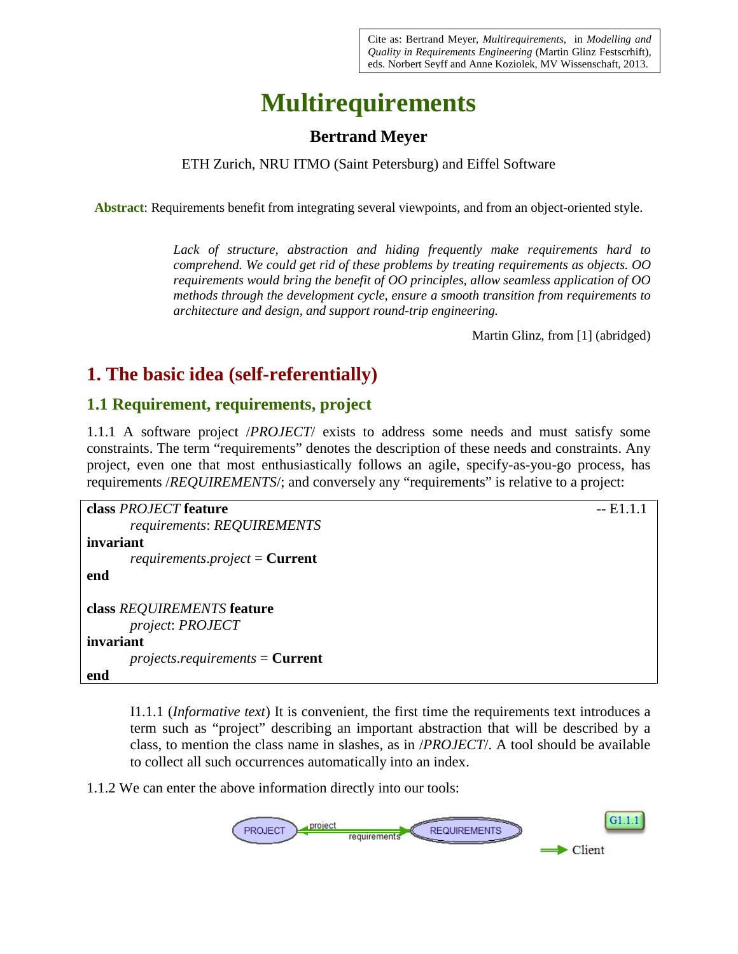Cite as: Bertrand Meyer, *Multirequirements*, in *Modelling and Quality in Requirements Engineering* (Martin Glinz Festscrhift)*,* eds. Norbert Seyff and Anne Koziolek, MV Wissenschaft, 2013.

# **Multirequirements**

#### **Bertrand Meyer**

ETH Zurich, NRU ITMO (Saint Petersburg) and Eiffel Software

**Abstract**: Requirements benefit from integrating several viewpoints, and from an object-oriented style.

*Lack of structure, abstraction and hiding frequently make requirements hard to comprehend. We could get rid of these problems by treating requirements as objects. OO requirements would bring the benefit of OO principles, allow seamless application of OO methods through the development cycle, ensure a smooth transition from requirements to architecture and design, and support round-trip engineering.*

Martin Glinz, from [1] (abridged)

## **1. The basic idea (self-referentially)**

#### **1.1 Requirement, requirements, project**

1.1.1 A software project /*PROJECT*/ exists to address some needs and must satisfy some constraints. The term "requirements" denotes the description of these needs and constraints. Any project, even one that most enthusiastically follows an agile, specify-as-you-go process, has requirements */REQUIREMENTS/*; and conversely any "requirements" is relative to a project:

```
class PROJECT feature -- E1.1.1
     requirements: REQUIREMENTS
invariant
     requirements.project = Current
end
class REQUIREMENTS feature
     project: PROJECT
invariant
     projects.requirements = Current
end
```
I1.1.1 (*Informative text*) It is convenient, the first time the requirements text introduces a term such as "project" describing an important abstraction that will be described by a class, to mention the class name in slashes, as in /*PROJECT*/. A tool should be available to collect all such occurrences automatically into an index.

1.1.2 We can enter the above information directly into our tools:

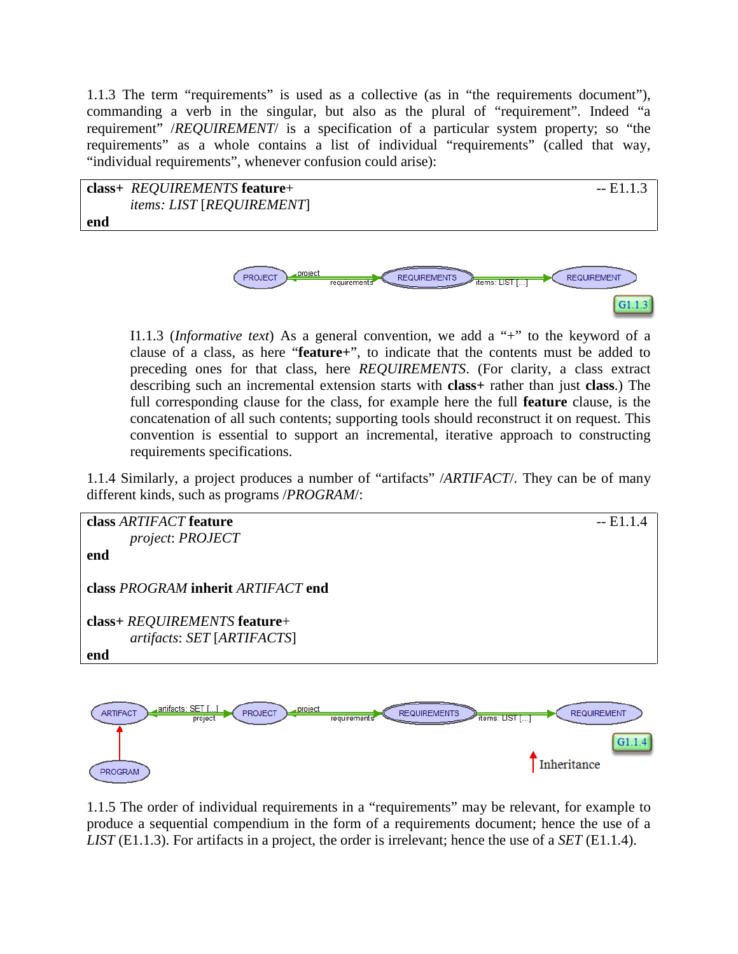1.1.3 The term "requirements" is used as a collective (as in "the requirements document"), commanding a verb in the singular, but also as the plural of "requirement". Indeed "a requirement" /*REQUIREMENT*/ is a specification of a particular system property; so "the requirements" as a whole contains a list of individual "requirements" (called that way, "individual requirements", whenever confusion could arise):



I1.1.3 (*Informative text*) As a general convention, we add a "+" to the keyword of a clause of a class, as here "**feature+**", to indicate that the contents must be added to preceding ones for that class, here *REQUIREMENTS*. (For clarity, a class extract describing such an incremental extension starts with **class+** rather than just **class**.) The full corresponding clause for the class, for example here the full **feature** clause, is the concatenation of all such contents; supporting tools should reconstruct it on request. This convention is essential to support an incremental, iterative approach to constructing requirements specifications.

 $G1.1.3$ 

1.1.4 Similarly, a project produces a number of "artifacts" /*ARTIFACT*/. They can be of many different kinds, such as programs /*PROGRAM*/:





1.1.5 The order of individual requirements in a "requirements" may be relevant, for example to produce a sequential compendium in the form of a requirements document; hence the use of a *LIST* (E1.1.3). For artifacts in a project, the order is irrelevant; hence the use of a *SET* (E1.1.4).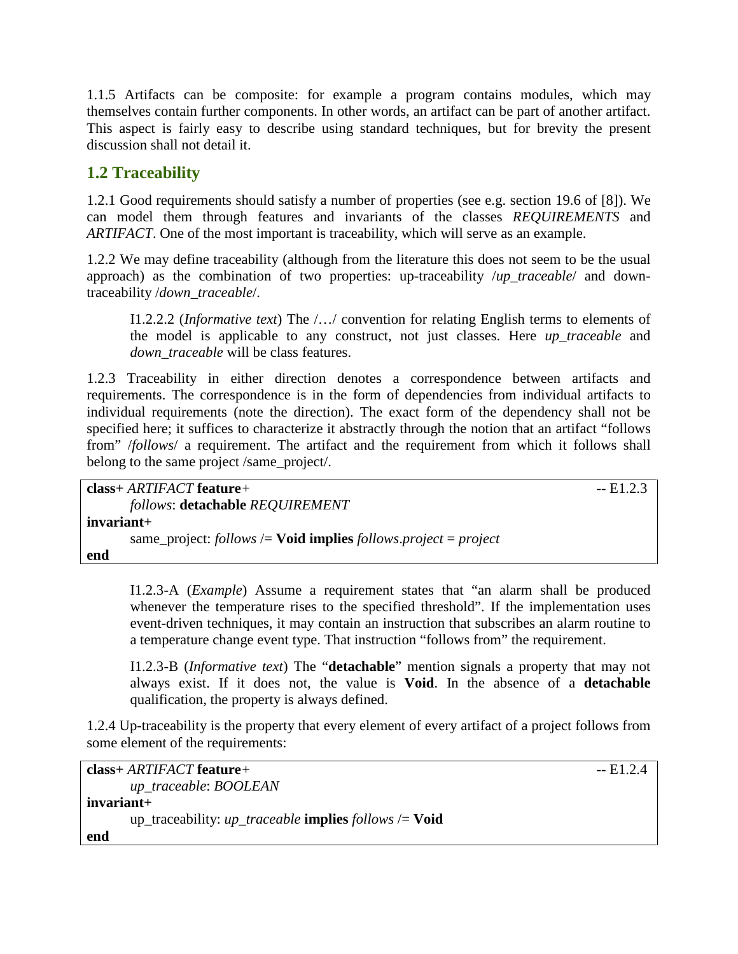1.1.5 Artifacts can be composite: for example a program contains modules, which may themselves contain further components. In other words, an artifact can be part of another artifact. This aspect is fairly easy to describe using standard techniques, but for brevity the present discussion shall not detail it.

### **1.2 Traceability**

1.2.1 Good requirements should satisfy a number of properties (see e.g. section 19.6 of [8]). We can model them through features and invariants of the classes *REQUIREMENTS* and *ARTIFACT*. One of the most important is traceability, which will serve as an example.

1.2.2 We may define traceability (although from the literature this does not seem to be the usual approach) as the combination of two properties: up-traceability /*up\_traceable*/ and downtraceability /*down\_traceable*/.

I1.2.2.2 (*Informative text*) The /…/ convention for relating English terms to elements of the model is applicable to any construct, not just classes. Here *up\_traceable* and *down\_traceable* will be class features.

1.2.3 Traceability in either direction denotes a correspondence between artifacts and requirements. The correspondence is in the form of dependencies from individual artifacts to individual requirements (note the direction). The exact form of the dependency shall not be specified here; it suffices to characterize it abstractly through the notion that an artifact "follows from" /*follows*/ a requirement. The artifact and the requirement from which it follows shall belong to the same project /same\_project/.

| $class+ARTIFACT feature+$                                                  | $-E1.2.3$ |
|----------------------------------------------------------------------------|-----------|
| follows: detachable REQUIREMENT                                            |           |
| invariant+                                                                 |           |
| same_project: follows $\ell$ <b>Void implies</b> follows.project = project |           |
| end                                                                        |           |

I1.2.3-A (*Example*) Assume a requirement states that "an alarm shall be produced whenever the temperature rises to the specified threshold". If the implementation uses event-driven techniques, it may contain an instruction that subscribes an alarm routine to a temperature change event type. That instruction "follows from" the requirement.

I1.2.3-B (*Informative text*) The "**detachable**" mention signals a property that may not always exist. If it does not, the value is **Void**. In the absence of a **detachable** qualification, the property is always defined.

1.2.4 Up-traceability is the property that every element of every artifact of a project follows from some element of the requirements:

```
class+ ARTIFACT feature+ -- E1.2.4
    up_traceable: BOOLEAN
invariant+
    up_traceability: up_traceable implies follows /= Void
end
```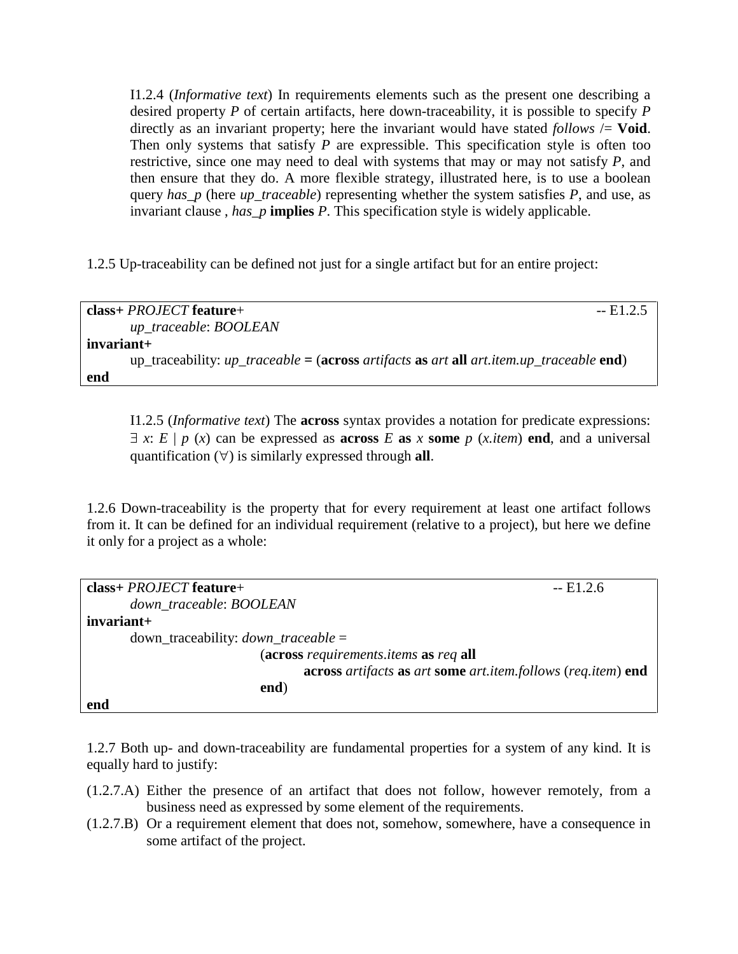I1.2.4 (*Informative text*) In requirements elements such as the present one describing a desired property *P* of certain artifacts, here down-traceability, it is possible to specify *P* directly as an invariant property; here the invariant would have stated *follows*  $\neq$  **Void**. Then only systems that satisfy *P* are expressible. This specification style is often too restrictive, since one may need to deal with systems that may or may not satisfy *P*, and then ensure that they do. A more flexible strategy, illustrated here, is to use a boolean query *has\_p* (here *up\_traceable*) representing whether the system satisfies *P*, and use, as invariant clause , *has\_p* **implies** *P*. This specification style is widely applicable.

1.2.5 Up-traceability can be defined not just for a single artifact but for an entire project:

| $class + PROJECT feature +$                                                                                | $-E1.2.5$ |
|------------------------------------------------------------------------------------------------------------|-----------|
| up_traceable: BOOLEAN                                                                                      |           |
| invariant+                                                                                                 |           |
| up_traceability: $up\_traceable = (across\text{ artifacts as art all art.}item up\_traceable \text{ end})$ |           |
| end                                                                                                        |           |

I1.2.5 (*Informative text*) The **across** syntax provides a notation for predicate expressions:  $\exists x: E | p(x)$  can be expressed as **across** *E* **as** *x* **some** *p* (*x.item*) **end**, and a universal quantification (∀) is similarly expressed through **all**.

1.2.6 Down-traceability is the property that for every requirement at least one artifact follows from it. It can be defined for an individual requirement (relative to a project), but here we define it only for a project as a whole:

| $class + PROJECT$ feature+                                   | $-E1.2.6$ |
|--------------------------------------------------------------|-----------|
| down traceable: BOOLEAN                                      |           |
| $invariant+$                                                 |           |
| $down\_traceability: down\_traceable =$                      |           |
| (across requirements.items as req all                        |           |
| across artifacts as art some art.item.follows (req.item) end |           |
| end)                                                         |           |
| end                                                          |           |

1.2.7 Both up- and down-traceability are fundamental properties for a system of any kind. It is equally hard to justify:

- (1.2.7.A) Either the presence of an artifact that does not follow, however remotely, from a business need as expressed by some element of the requirements.
- (1.2.7.B) Or a requirement element that does not, somehow, somewhere, have a consequence in some artifact of the project.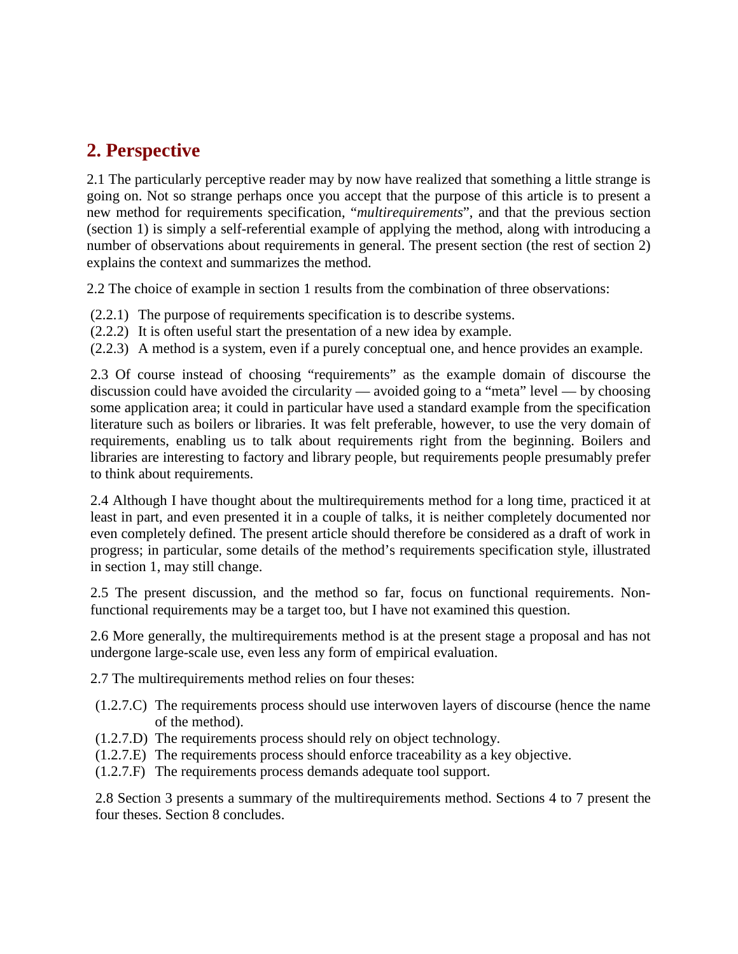# **2. Perspective**

2.1 The particularly perceptive reader may by now have realized that something a little strange is going on. Not so strange perhaps once you accept that the purpose of this article is to present a new method for requirements specification, "*multirequirements*", and that the previous section (section 1) is simply a self-referential example of applying the method, along with introducing a number of observations about requirements in general. The present section (the rest of section 2) explains the context and summarizes the method.

2.2 The choice of example in section 1 results from the combination of three observations:

- (2.2.1) The purpose of requirements specification is to describe systems.
- (2.2.2) It is often useful start the presentation of a new idea by example.
- (2.2.3) A method is a system, even if a purely conceptual one, and hence provides an example.

2.3 Of course instead of choosing "requirements" as the example domain of discourse the discussion could have avoided the circularity — avoided going to a "meta" level — by choosing some application area; it could in particular have used a standard example from the specification literature such as boilers or libraries. It was felt preferable, however, to use the very domain of requirements, enabling us to talk about requirements right from the beginning. Boilers and libraries are interesting to factory and library people, but requirements people presumably prefer to think about requirements.

2.4 Although I have thought about the multirequirements method for a long time, practiced it at least in part, and even presented it in a couple of talks, it is neither completely documented nor even completely defined. The present article should therefore be considered as a draft of work in progress; in particular, some details of the method's requirements specification style, illustrated in section 1, may still change.

2.5 The present discussion, and the method so far, focus on functional requirements. Nonfunctional requirements may be a target too, but I have not examined this question.

2.6 More generally, the multirequirements method is at the present stage a proposal and has not undergone large-scale use, even less any form of empirical evaluation.

2.7 The multirequirements method relies on four theses:

- (1.2.7.C) The requirements process should use interwoven layers of discourse (hence the name of the method).
- (1.2.7.D) The requirements process should rely on object technology.
- (1.2.7.E) The requirements process should enforce traceability as a key objective.
- (1.2.7.F) The requirements process demands adequate tool support.

2.8 Section 3 presents a summary of the multirequirements method. Sections 4 to 7 present the four theses. Section 8 concludes.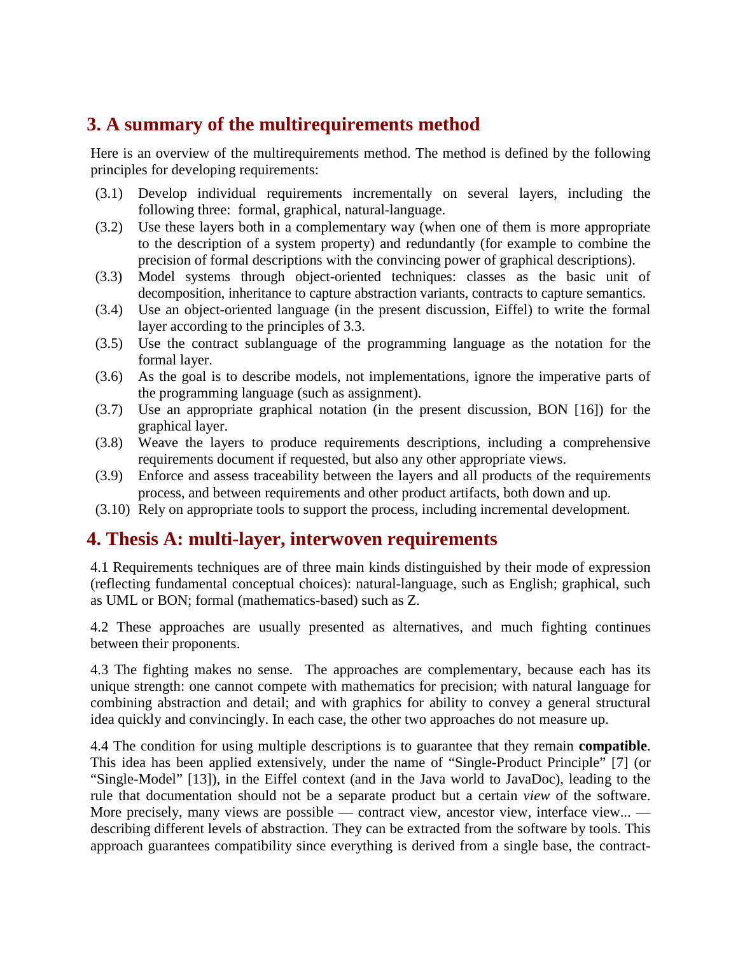# **3. A summary of the multirequirements method**

Here is an overview of the multirequirements method. The method is defined by the following principles for developing requirements:

- (3.1) Develop individual requirements incrementally on several layers, including the following three: formal, graphical, natural-language.
- (3.2) Use these layers both in a complementary way (when one of them is more appropriate to the description of a system property) and redundantly (for example to combine the precision of formal descriptions with the convincing power of graphical descriptions).
- (3.3) Model systems through object-oriented techniques: classes as the basic unit of decomposition, inheritance to capture abstraction variants, contracts to capture semantics.
- (3.4) Use an object-oriented language (in the present discussion, Eiffel) to write the formal layer according to the principles of 3.3.
- (3.5) Use the contract sublanguage of the programming language as the notation for the formal layer.
- (3.6) As the goal is to describe models, not implementations, ignore the imperative parts of the programming language (such as assignment).
- (3.7) Use an appropriate graphical notation (in the present discussion, BON [16]) for the graphical layer.
- (3.8) Weave the layers to produce requirements descriptions, including a comprehensive requirements document if requested, but also any other appropriate views.
- (3.9) Enforce and assess traceability between the layers and all products of the requirements process, and between requirements and other product artifacts, both down and up.
- (3.10) Rely on appropriate tools to support the process, including incremental development.

## **4. Thesis A: multi-layer, interwoven requirements**

4.1 Requirements techniques are of three main kinds distinguished by their mode of expression (reflecting fundamental conceptual choices): natural-language, such as English; graphical, such as UML or BON; formal (mathematics-based) such as Z.

4.2 These approaches are usually presented as alternatives, and much fighting continues between their proponents.

4.3 The fighting makes no sense. The approaches are complementary, because each has its unique strength: one cannot compete with mathematics for precision; with natural language for combining abstraction and detail; and with graphics for ability to convey a general structural idea quickly and convincingly. In each case, the other two approaches do not measure up.

4.4 The condition for using multiple descriptions is to guarantee that they remain **compatible**. This idea has been applied extensively, under the name of "Single-Product Principle" [7] (or "Single-Model" [13]), in the Eiffel context (and in the Java world to JavaDoc), leading to the rule that documentation should not be a separate product but a certain *view* of the software. More precisely, many views are possible — contract view, ancestor view, interface view... describing different levels of abstraction. They can be extracted from the software by tools. This approach guarantees compatibility since everything is derived from a single base, the contract-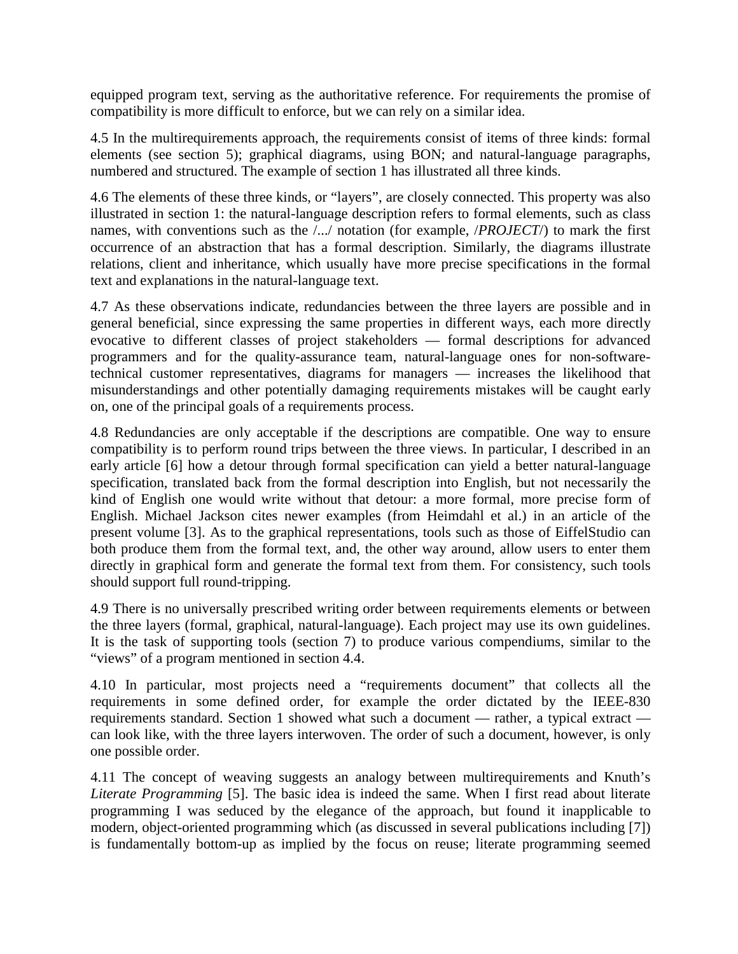equipped program text, serving as the authoritative reference. For requirements the promise of compatibility is more difficult to enforce, but we can rely on a similar idea.

4.5 In the multirequirements approach, the requirements consist of items of three kinds: formal elements (see section 5); graphical diagrams, using BON; and natural-language paragraphs, numbered and structured. The example of section 1 has illustrated all three kinds.

4.6 The elements of these three kinds, or "layers", are closely connected. This property was also illustrated in section 1: the natural-language description refers to formal elements, such as class names, with conventions such as the /.../ notation (for example, /*PROJECT*/) to mark the first occurrence of an abstraction that has a formal description. Similarly, the diagrams illustrate relations, client and inheritance, which usually have more precise specifications in the formal text and explanations in the natural-language text.

4.7 As these observations indicate, redundancies between the three layers are possible and in general beneficial, since expressing the same properties in different ways, each more directly evocative to different classes of project stakeholders — formal descriptions for advanced programmers and for the quality-assurance team, natural-language ones for non-softwaretechnical customer representatives, diagrams for managers — increases the likelihood that misunderstandings and other potentially damaging requirements mistakes will be caught early on, one of the principal goals of a requirements process.

4.8 Redundancies are only acceptable if the descriptions are compatible. One way to ensure compatibility is to perform round trips between the three views. In particular, I described in an early article [6] how a detour through formal specification can yield a better natural-language specification, translated back from the formal description into English, but not necessarily the kind of English one would write without that detour: a more formal, more precise form of English. Michael Jackson cites newer examples (from Heimdahl et al.) in an article of the present volume [3]. As to the graphical representations, tools such as those of EiffelStudio can both produce them from the formal text, and, the other way around, allow users to enter them directly in graphical form and generate the formal text from them. For consistency, such tools should support full round-tripping.

4.9 There is no universally prescribed writing order between requirements elements or between the three layers (formal, graphical, natural-language). Each project may use its own guidelines. It is the task of supporting tools (section 7) to produce various compendiums, similar to the "views" of a program mentioned in section 4.4.

4.10 In particular, most projects need a "requirements document" that collects all the requirements in some defined order, for example the order dictated by the IEEE-830 requirements standard. Section 1 showed what such a document — rather, a typical extract can look like, with the three layers interwoven. The order of such a document, however, is only one possible order.

4.11 The concept of weaving suggests an analogy between multirequirements and Knuth's *Literate Programming* [5]. The basic idea is indeed the same. When I first read about literate programming I was seduced by the elegance of the approach, but found it inapplicable to modern, object-oriented programming which (as discussed in several publications including [7]) is fundamentally bottom-up as implied by the focus on reuse; literate programming seemed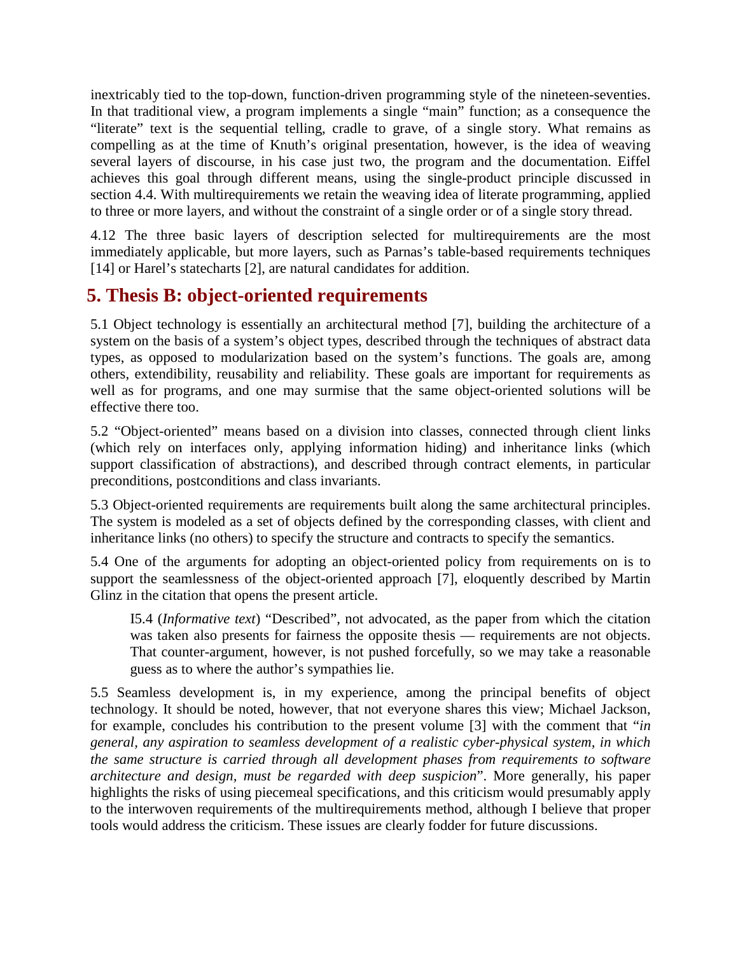inextricably tied to the top-down, function-driven programming style of the nineteen-seventies. In that traditional view, a program implements a single "main" function; as a consequence the "literate" text is the sequential telling, cradle to grave, of a single story. What remains as compelling as at the time of Knuth's original presentation, however, is the idea of weaving several layers of discourse, in his case just two, the program and the documentation. Eiffel achieves this goal through different means, using the single-product principle discussed in section 4.4. With multirequirements we retain the weaving idea of literate programming, applied to three or more layers, and without the constraint of a single order or of a single story thread.

4.12 The three basic layers of description selected for multirequirements are the most immediately applicable, but more layers, such as Parnas's table-based requirements techniques [14] or Harel's statecharts [2], are natural candidates for addition.

# **5. Thesis B: object-oriented requirements**

5.1 Object technology is essentially an architectural method [7], building the architecture of a system on the basis of a system's object types, described through the techniques of abstract data types, as opposed to modularization based on the system's functions. The goals are, among others, extendibility, reusability and reliability. These goals are important for requirements as well as for programs, and one may surmise that the same object-oriented solutions will be effective there too.

5.2 "Object-oriented" means based on a division into classes, connected through client links (which rely on interfaces only, applying information hiding) and inheritance links (which support classification of abstractions), and described through contract elements, in particular preconditions, postconditions and class invariants.

5.3 Object-oriented requirements are requirements built along the same architectural principles. The system is modeled as a set of objects defined by the corresponding classes, with client and inheritance links (no others) to specify the structure and contracts to specify the semantics.

5.4 One of the arguments for adopting an object-oriented policy from requirements on is to support the seamlessness of the object-oriented approach [7], eloquently described by Martin Glinz in the citation that opens the present article.

I5.4 (*Informative text*) "Described", not advocated, as the paper from which the citation was taken also presents for fairness the opposite thesis — requirements are not objects. That counter-argument, however, is not pushed forcefully, so we may take a reasonable guess as to where the author's sympathies lie.

5.5 Seamless development is, in my experience, among the principal benefits of object technology. It should be noted, however, that not everyone shares this view; Michael Jackson, for example, concludes his contribution to the present volume [3] with the comment that "*in general, any aspiration to seamless development of a realistic cyber-physical system, in which the same structure is carried through all development phases from requirements to software architecture and design, must be regarded with deep suspicion*". More generally, his paper highlights the risks of using piecemeal specifications, and this criticism would presumably apply to the interwoven requirements of the multirequirements method, although I believe that proper tools would address the criticism. These issues are clearly fodder for future discussions.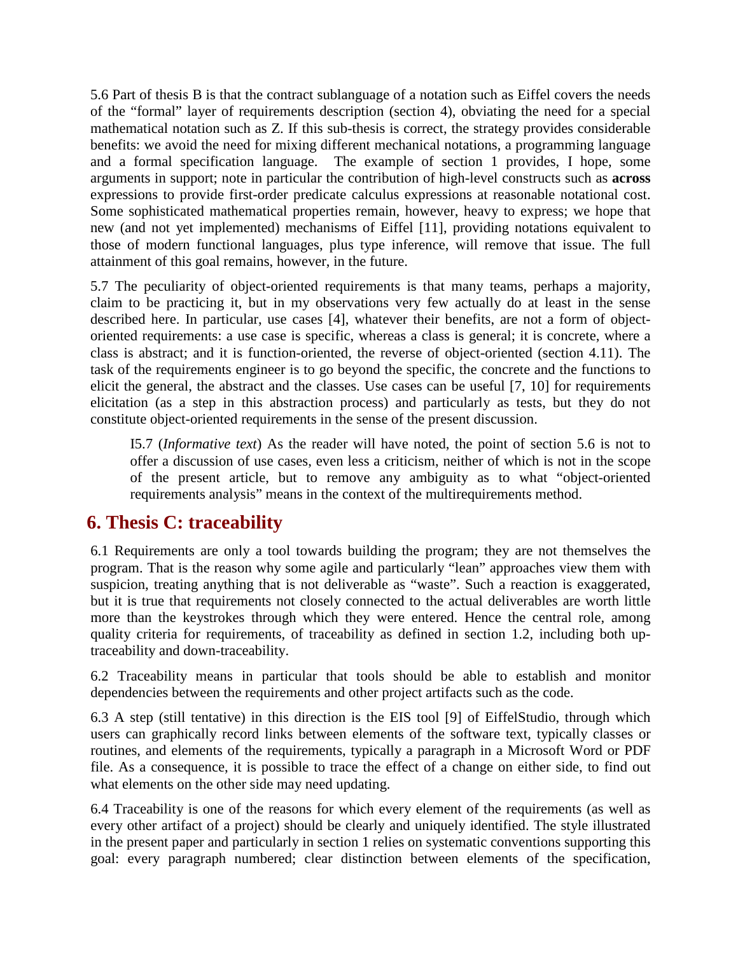5.6 Part of thesis B is that the contract sublanguage of a notation such as Eiffel covers the needs of the "formal" layer of requirements description (section 4), obviating the need for a special mathematical notation such as Z. If this sub-thesis is correct, the strategy provides considerable benefits: we avoid the need for mixing different mechanical notations, a programming language and a formal specification language. The example of section 1 provides, I hope, some arguments in support; note in particular the contribution of high-level constructs such as **across** expressions to provide first-order predicate calculus expressions at reasonable notational cost. Some sophisticated mathematical properties remain, however, heavy to express; we hope that new (and not yet implemented) mechanisms of Eiffel [11], providing notations equivalent to those of modern functional languages, plus type inference, will remove that issue. The full attainment of this goal remains, however, in the future.

5.7 The peculiarity of object-oriented requirements is that many teams, perhaps a majority, claim to be practicing it, but in my observations very few actually do at least in the sense described here. In particular, use cases [4], whatever their benefits, are not a form of objectoriented requirements: a use case is specific, whereas a class is general; it is concrete, where a class is abstract; and it is function-oriented, the reverse of object-oriented (section 4.11). The task of the requirements engineer is to go beyond the specific, the concrete and the functions to elicit the general, the abstract and the classes. Use cases can be useful [7, 10] for requirements elicitation (as a step in this abstraction process) and particularly as tests, but they do not constitute object-oriented requirements in the sense of the present discussion.

I5.7 (*Informative text*) As the reader will have noted, the point of section 5.6 is not to offer a discussion of use cases, even less a criticism, neither of which is not in the scope of the present article, but to remove any ambiguity as to what "object-oriented requirements analysis" means in the context of the multirequirements method.

## **6. Thesis C: traceability**

6.1 Requirements are only a tool towards building the program; they are not themselves the program. That is the reason why some agile and particularly "lean" approaches view them with suspicion, treating anything that is not deliverable as "waste". Such a reaction is exaggerated, but it is true that requirements not closely connected to the actual deliverables are worth little more than the keystrokes through which they were entered. Hence the central role, among quality criteria for requirements, of traceability as defined in section 1.2, including both uptraceability and down-traceability.

6.2 Traceability means in particular that tools should be able to establish and monitor dependencies between the requirements and other project artifacts such as the code.

6.3 A step (still tentative) in this direction is the EIS tool [9] of EiffelStudio, through which users can graphically record links between elements of the software text, typically classes or routines, and elements of the requirements, typically a paragraph in a Microsoft Word or PDF file. As a consequence, it is possible to trace the effect of a change on either side, to find out what elements on the other side may need updating.

6.4 Traceability is one of the reasons for which every element of the requirements (as well as every other artifact of a project) should be clearly and uniquely identified. The style illustrated in the present paper and particularly in section 1 relies on systematic conventions supporting this goal: every paragraph numbered; clear distinction between elements of the specification,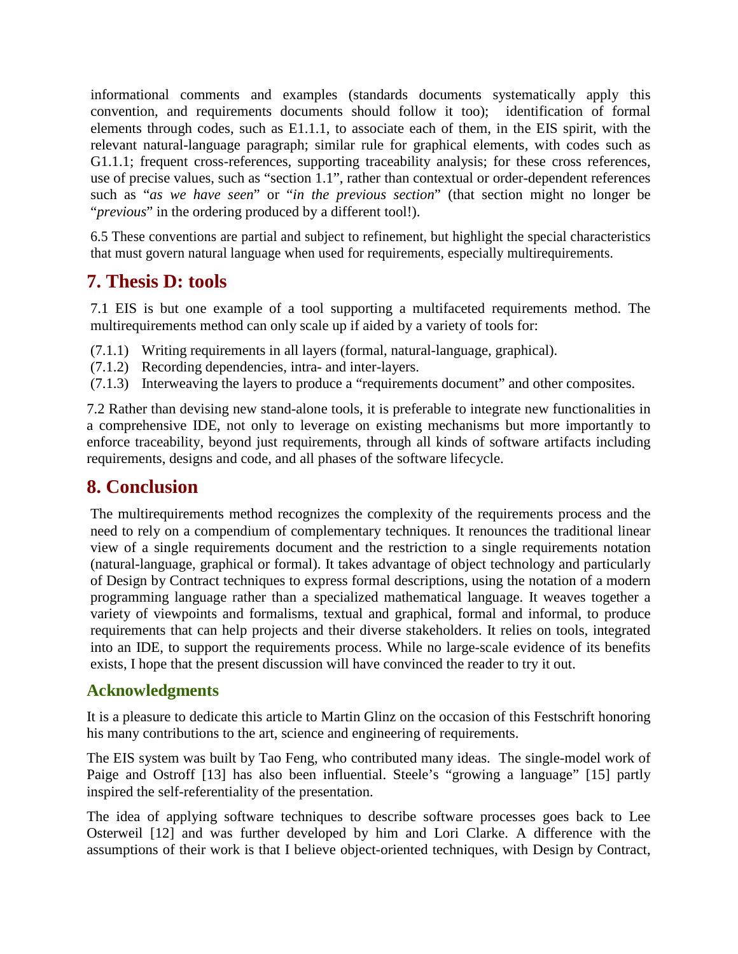informational comments and examples (standards documents systematically apply this convention, and requirements documents should follow it too); identification of formal elements through codes, such as E1.1.1, to associate each of them, in the EIS spirit, with the relevant natural-language paragraph; similar rule for graphical elements, with codes such as G1.1.1; frequent cross-references, supporting traceability analysis; for these cross references, use of precise values, such as "section 1.1", rather than contextual or order-dependent references such as "*as we have seen*" or "*in the previous section*" (that section might no longer be "*previous*" in the ordering produced by a different tool!).

6.5 These conventions are partial and subject to refinement, but highlight the special characteristics that must govern natural language when used for requirements, especially multirequirements.

## **7. Thesis D: tools**

7.1 EIS is but one example of a tool supporting a multifaceted requirements method. The multirequirements method can only scale up if aided by a variety of tools for:

- (7.1.1) Writing requirements in all layers (formal, natural-language, graphical).
- (7.1.2) Recording dependencies, intra- and inter-layers.
- (7.1.3) Interweaving the layers to produce a "requirements document" and other composites.

7.2 Rather than devising new stand-alone tools, it is preferable to integrate new functionalities in a comprehensive IDE, not only to leverage on existing mechanisms but more importantly to enforce traceability, beyond just requirements, through all kinds of software artifacts including requirements, designs and code, and all phases of the software lifecycle.

## **8. Conclusion**

The multirequirements method recognizes the complexity of the requirements process and the need to rely on a compendium of complementary techniques. It renounces the traditional linear view of a single requirements document and the restriction to a single requirements notation (natural-language, graphical or formal). It takes advantage of object technology and particularly of Design by Contract techniques to express formal descriptions, using the notation of a modern programming language rather than a specialized mathematical language. It weaves together a variety of viewpoints and formalisms, textual and graphical, formal and informal, to produce requirements that can help projects and their diverse stakeholders. It relies on tools, integrated into an IDE, to support the requirements process. While no large-scale evidence of its benefits exists, I hope that the present discussion will have convinced the reader to try it out.

#### **Acknowledgments**

It is a pleasure to dedicate this article to Martin Glinz on the occasion of this Festschrift honoring his many contributions to the art, science and engineering of requirements.

The EIS system was built by Tao Feng, who contributed many ideas. The single-model work of Paige and Ostroff [13] has also been influential. Steele's "growing a language" [15] partly inspired the self-referentiality of the presentation.

The idea of applying software techniques to describe software processes goes back to Lee Osterweil [12] and was further developed by him and Lori Clarke. A difference with the assumptions of their work is that I believe object-oriented techniques, with Design by Contract,